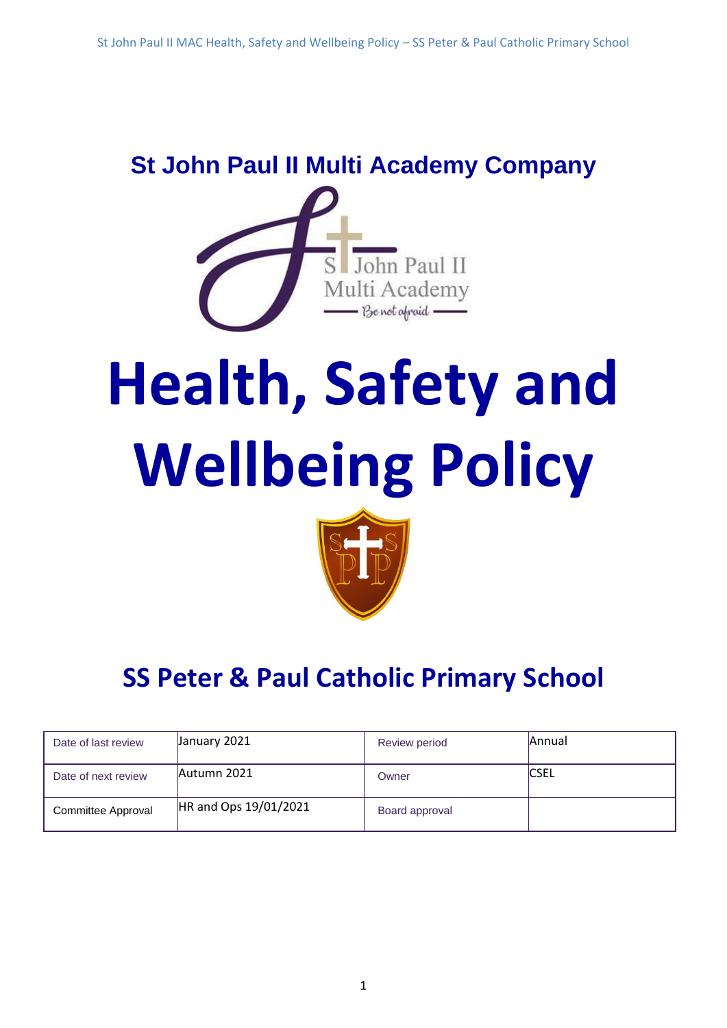# **St John Paul II Multi Academy Company**



# **Health, Safety and Wellbeing Policy**



# **SS Peter & Paul Catholic Primary School**

| Date of last review | January 2021          | Review period  | <b>Annual</b> |
|---------------------|-----------------------|----------------|---------------|
| Date of next review | Autumn 2021           | Owner          | <b>ICSEL</b>  |
| Committee Approval  | HR and Ops 19/01/2021 | Board approval |               |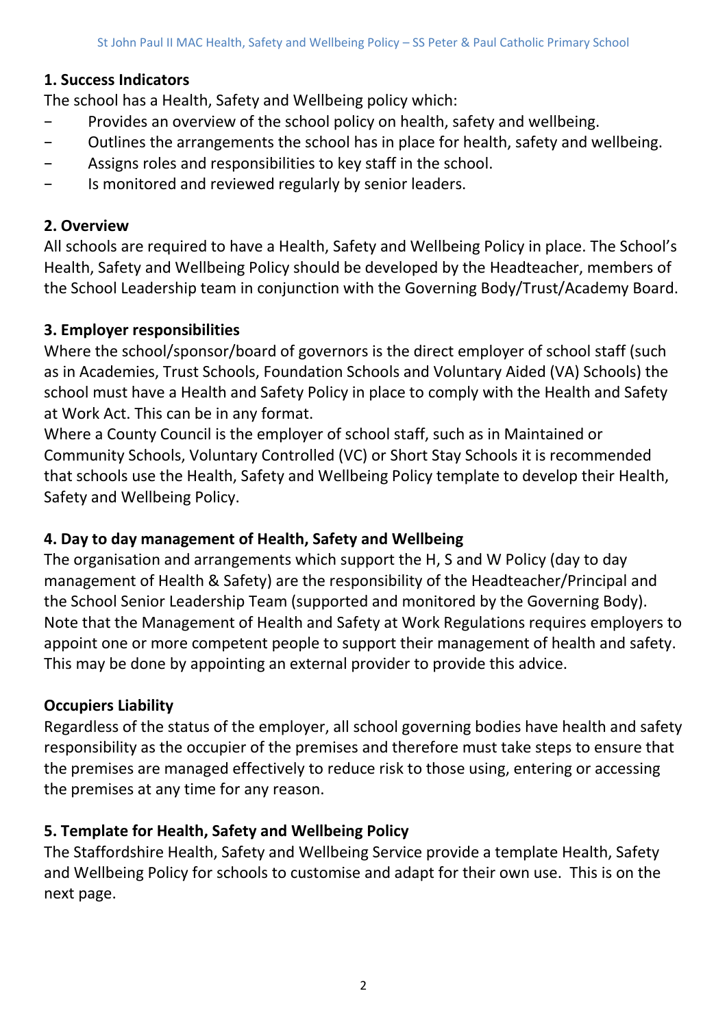#### **1. Success Indicators**

The school has a Health, Safety and Wellbeing policy which:

- Provides an overview of the school policy on health, safety and wellbeing.
- − Outlines the arrangements the school has in place for health, safety and wellbeing.
- − Assigns roles and responsibilities to key staff in the school.
- Is monitored and reviewed regularly by senior leaders.

### **2. Overview**

All schools are required to have a Health, Safety and Wellbeing Policy in place. The School's Health, Safety and Wellbeing Policy should be developed by the Headteacher, members of the School Leadership team in conjunction with the Governing Body/Trust/Academy Board.

# **3. Employer responsibilities**

Where the school/sponsor/board of governors is the direct employer of school staff (such as in Academies, Trust Schools, Foundation Schools and Voluntary Aided (VA) Schools) the school must have a Health and Safety Policy in place to comply with the Health and Safety at Work Act. This can be in any format.

Where a County Council is the employer of school staff, such as in Maintained or Community Schools, Voluntary Controlled (VC) or Short Stay Schools it is recommended that schools use the Health, Safety and Wellbeing Policy template to develop their Health, Safety and Wellbeing Policy.

# **4. Day to day management of Health, Safety and Wellbeing**

The organisation and arrangements which support the H, S and W Policy (day to day management of Health & Safety) are the responsibility of the Headteacher/Principal and the School Senior Leadership Team (supported and monitored by the Governing Body). Note that the Management of Health and Safety at Work Regulations requires employers to appoint one or more competent people to support their management of health and safety. This may be done by appointing an external provider to provide this advice.

# **Occupiers Liability**

Regardless of the status of the employer, all school governing bodies have health and safety responsibility as the occupier of the premises and therefore must take steps to ensure that the premises are managed effectively to reduce risk to those using, entering or accessing the premises at any time for any reason.

# **5. Template for Health, Safety and Wellbeing Policy**

The Staffordshire Health, Safety and Wellbeing Service provide a template Health, Safety and Wellbeing Policy for schools to customise and adapt for their own use. This is on the next page.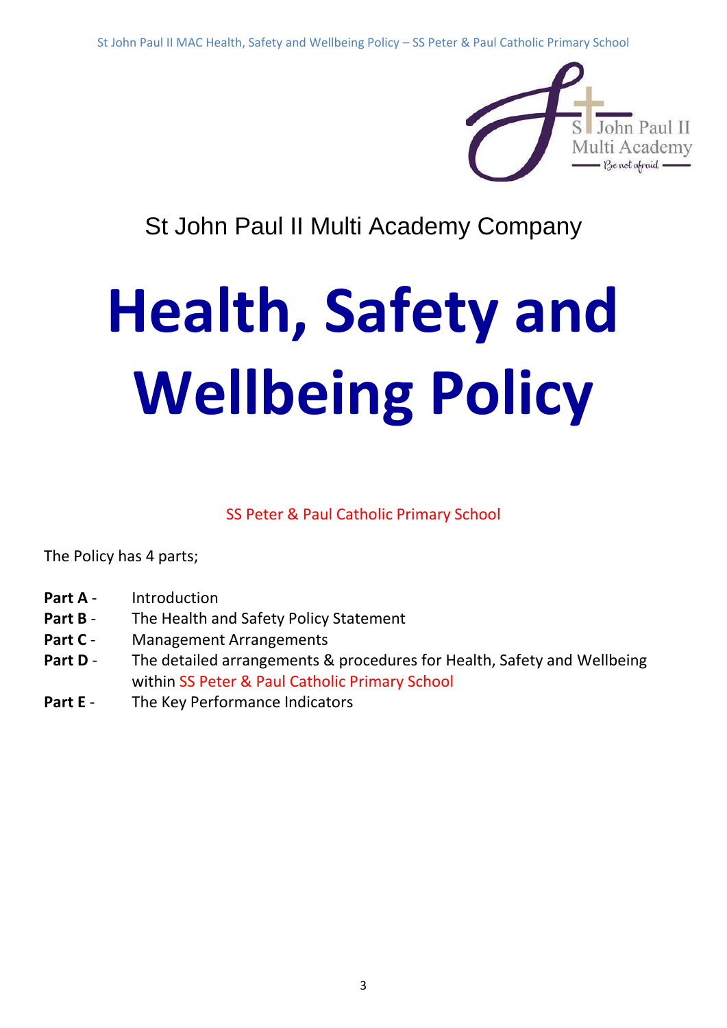

# St John Paul II Multi Academy Company

# **Health, Safety and Wellbeing Policy**

SS Peter & Paul Catholic Primary School

The Policy has 4 parts;

- **Part A** Introduction
- Part B The Health and Safety Policy Statement
- Part C Management Arrangements
- **Part D** The detailed arrangements & procedures for Health, Safety and Wellbeing within SS Peter & Paul Catholic Primary School
- Part E The Key Performance Indicators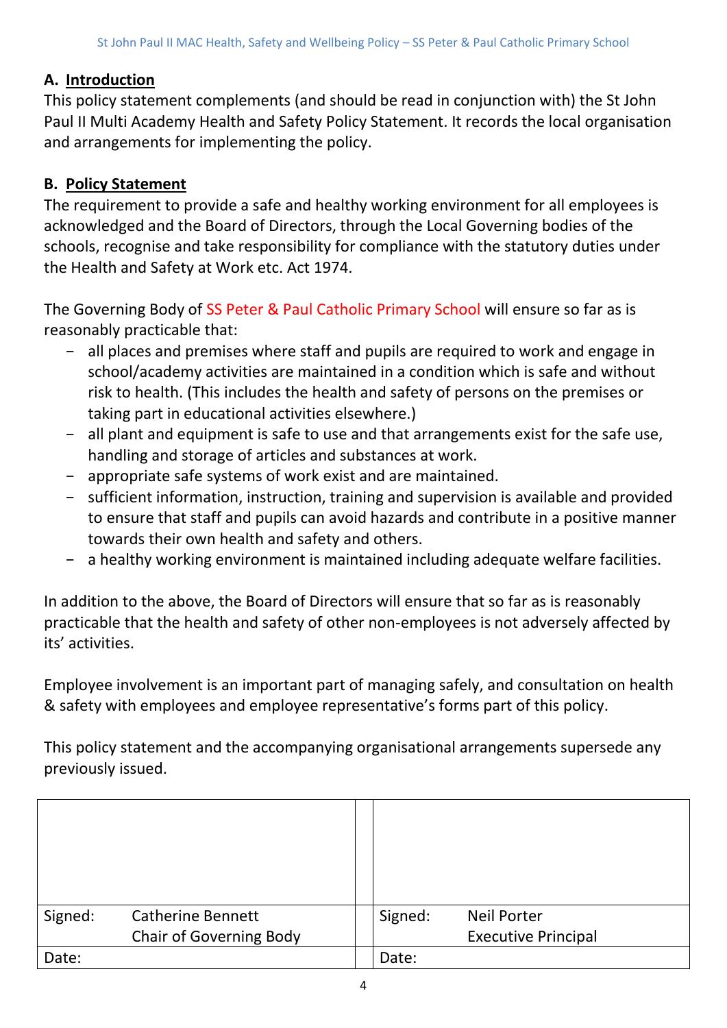#### **A. Introduction**

This policy statement complements (and should be read in conjunction with) the St John Paul II Multi Academy Health and Safety Policy Statement. It records the local organisation and arrangements for implementing the policy.

#### **B. Policy Statement**

The requirement to provide a safe and healthy working environment for all employees is acknowledged and the Board of Directors, through the Local Governing bodies of the schools, recognise and take responsibility for compliance with the statutory duties under the Health and Safety at Work etc. Act 1974.

The Governing Body of SS Peter & Paul Catholic Primary School will ensure so far as is reasonably practicable that:

- all places and premises where staff and pupils are required to work and engage in school/academy activities are maintained in a condition which is safe and without risk to health. (This includes the health and safety of persons on the premises or taking part in educational activities elsewhere.)
- − all plant and equipment is safe to use and that arrangements exist for the safe use, handling and storage of articles and substances at work.
- − appropriate safe systems of work exist and are maintained.
- − sufficient information, instruction, training and supervision is available and provided to ensure that staff and pupils can avoid hazards and contribute in a positive manner towards their own health and safety and others.
- − a healthy working environment is maintained including adequate welfare facilities.

In addition to the above, the Board of Directors will ensure that so far as is reasonably practicable that the health and safety of other non-employees is not adversely affected by its' activities.

Employee involvement is an important part of managing safely, and consultation on health & safety with employees and employee representative's forms part of this policy.

This policy statement and the accompanying organisational arrangements supersede any previously issued.

| Signed: | <b>Catherine Bennett</b>       | Signed: | <b>Neil Porter</b>         |
|---------|--------------------------------|---------|----------------------------|
|         | <b>Chair of Governing Body</b> |         | <b>Executive Principal</b> |
| Date:   |                                | Date:   |                            |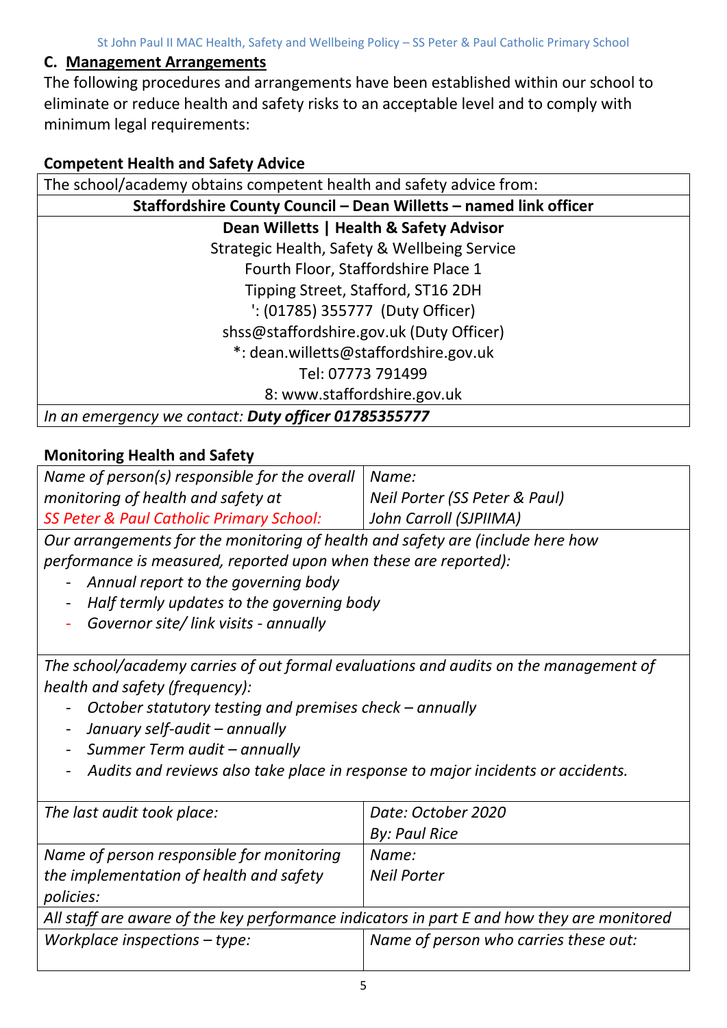#### **C. Management Arrangements**

The following procedures and arrangements have been established within our school to eliminate or reduce health and safety risks to an acceptable level and to comply with minimum legal requirements:

#### **Competent Health and Safety Advice**

| The school/academy obtains competent health and safety advice from: |  |  |  |
|---------------------------------------------------------------------|--|--|--|
| Staffordshire County Council - Dean Willetts - named link officer   |  |  |  |
| Dean Willetts   Health & Safety Advisor                             |  |  |  |
| Strategic Health, Safety & Wellbeing Service                        |  |  |  |
| Fourth Floor, Staffordshire Place 1                                 |  |  |  |
| Tipping Street, Stafford, ST16 2DH                                  |  |  |  |
| $'$ : (01785) 355777 (Duty Officer)                                 |  |  |  |
| shss@staffordshire.gov.uk (Duty Officer)                            |  |  |  |
| *: dean.willetts@staffordshire.gov.uk                               |  |  |  |
| Tel: 07773 791499                                                   |  |  |  |
| 8: www.staffordshire.gov.uk                                         |  |  |  |
| In an emergency we contact: Duty officer 01785355777                |  |  |  |

#### **Monitoring Health and Safety**

| Name of person(s) responsible for the overall                                              | Name:                         |  |  |  |
|--------------------------------------------------------------------------------------------|-------------------------------|--|--|--|
| monitoring of health and safety at                                                         | Neil Porter (SS Peter & Paul) |  |  |  |
| <b>SS Peter &amp; Paul Catholic Primary School:</b>                                        | John Carroll (SJPIIMA)        |  |  |  |
| Our arrangements for the monitoring of health and safety are (include here how             |                               |  |  |  |
| performance is measured, reported upon when these are reported):                           |                               |  |  |  |
| Annual report to the governing body                                                        |                               |  |  |  |
| Half termly updates to the governing body                                                  |                               |  |  |  |
| Governor site/link visits - annually                                                       |                               |  |  |  |
|                                                                                            |                               |  |  |  |
| The school/academy carries of out formal evaluations and audits on the management of       |                               |  |  |  |
| health and safety (frequency):                                                             |                               |  |  |  |
| October statutory testing and premises check – annually                                    |                               |  |  |  |
| January self-audit - annually                                                              |                               |  |  |  |
| Summer Term audit - annually                                                               |                               |  |  |  |
| Audits and reviews also take place in response to major incidents or accidents.            |                               |  |  |  |
|                                                                                            |                               |  |  |  |
| The last audit took place:                                                                 | Date: October 2020            |  |  |  |
|                                                                                            | <b>By: Paul Rice</b>          |  |  |  |
| Name of person responsible for monitoring                                                  | Name:                         |  |  |  |
| the implementation of health and safety<br><b>Neil Porter</b>                              |                               |  |  |  |
| policies:                                                                                  |                               |  |  |  |
| All staff are aware of the key performance indicators in part E and how they are monitored |                               |  |  |  |
| Workplace inspections $-$ type:<br>Name of person who carries these out:                   |                               |  |  |  |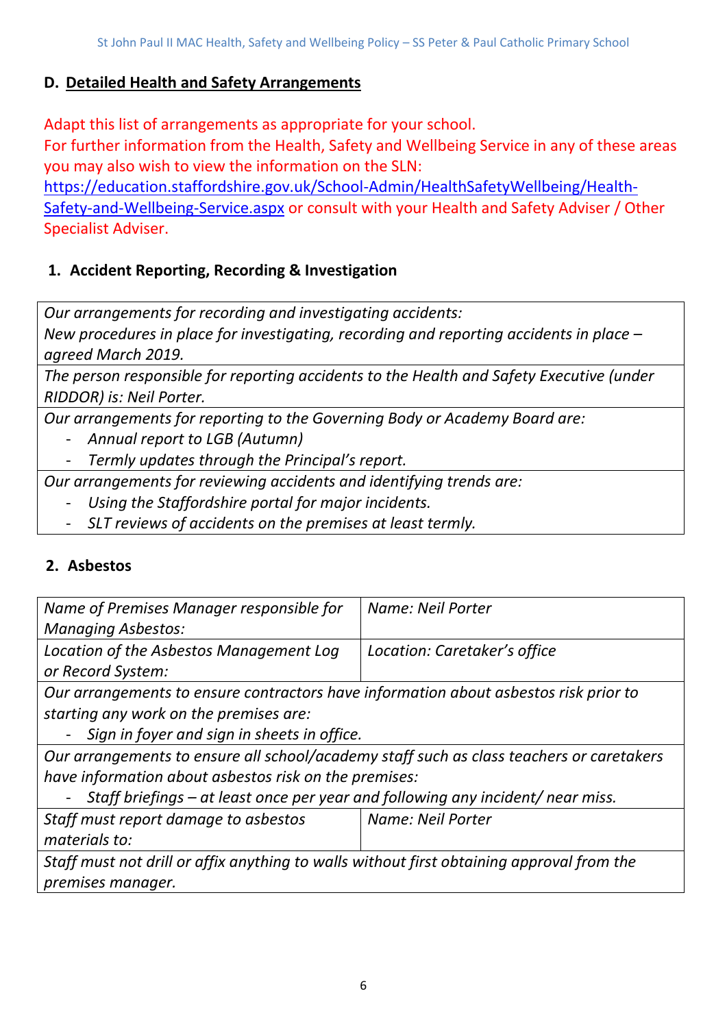# **D. Detailed Health and Safety Arrangements**

Adapt this list of arrangements as appropriate for your school.

For further information from the Health, Safety and Wellbeing Service in any of these areas you may also wish to view the information on the SLN:

[https://education.staffordshire.gov.uk/School-Admin/HealthSafetyWellbeing/Health-](https://education.staffordshire.gov.uk/School-Admin/HealthSafetyWellbeing/Health-Safety-and-Wellbeing-Service.aspx)[Safety-and-Wellbeing-Service.aspx](https://education.staffordshire.gov.uk/School-Admin/HealthSafetyWellbeing/Health-Safety-and-Wellbeing-Service.aspx) or consult with your Health and Safety Adviser / Other Specialist Adviser.

# **1. Accident Reporting, Recording & Investigation**

*Our arrangements for recording and investigating accidents:*

*New procedures in place for investigating, recording and reporting accidents in place – agreed March 2019.*

*The person responsible for reporting accidents to the Health and Safety Executive (under RIDDOR) is: Neil Porter.*

*Our arrangements for reporting to the Governing Body or Academy Board are:*

- *Annual report to LGB (Autumn)*
- *Termly updates through the Principal's report.*

*Our arrangements for reviewing accidents and identifying trends are:*

- *Using the Staffordshire portal for major incidents.*
- *SLT reviews of accidents on the premises at least termly.*

# **2. Asbestos**

| Name of Premises Manager responsible for                                             | Name: Neil Porter            |  |
|--------------------------------------------------------------------------------------|------------------------------|--|
| <b>Managing Asbestos:</b>                                                            |                              |  |
| Location of the Asbestos Management Log                                              | Location: Caretaker's office |  |
| or Record System:                                                                    |                              |  |
| Our arrangements to ensure contractors have information about asbestos risk prior to |                              |  |

*starting any work on the premises are:*

- *Sign in foyer and sign in sheets in office.*

*Our arrangements to ensure all school/academy staff such as class teachers or caretakers have information about asbestos risk on the premises:*

- *Staff briefings – at least once per year and following any incident/ near miss.*

| Staff must report damage to asbestos                                                      | Name: Neil Porter |  |
|-------------------------------------------------------------------------------------------|-------------------|--|
| materials to:                                                                             |                   |  |
| Staff must not drill or affix anything to walls without first obtaining approval from the |                   |  |

*premises manager.*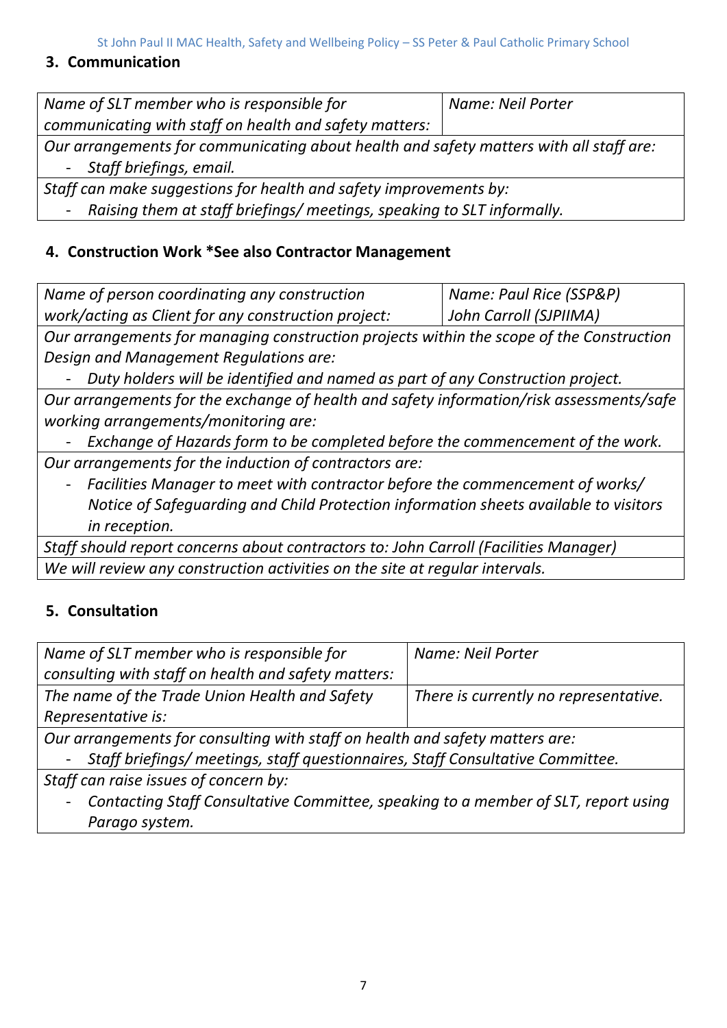#### **3. Communication**

| Name of SLT member who is responsible for                                              | Name: Neil Porter |  |
|----------------------------------------------------------------------------------------|-------------------|--|
| communicating with staff on health and safety matters:                                 |                   |  |
| Our arrangements for communicating about health and safety matters with all staff are: |                   |  |
| - Staff briefings, email.                                                              |                   |  |
| Staff can make suggestions for health and safety improvements by:                      |                   |  |

- *Raising them at staff briefings/ meetings, speaking to SLT informally.*

# **4. Construction Work \*See also Contractor Management**

| Name of person coordinating any construction        | Name: Paul Rice (SSP&P) |
|-----------------------------------------------------|-------------------------|
| work/acting as Client for any construction project: | John Carroll (SJPIIMA)  |
|                                                     |                         |

*Our arrangements for managing construction projects within the scope of the Construction Design and Management Regulations are:* 

- *Duty holders will be identified and named as part of any Construction project.* 

*Our arrangements for the exchange of health and safety information/risk assessments/safe working arrangements/monitoring are:* 

- *Exchange of Hazards form to be completed before the commencement of the work. Our arrangements for the induction of contractors are:* 

- *Facilities Manager to meet with contractor before the commencement of works/ Notice of Safeguarding and Child Protection information sheets available to visitors in reception.*

*Staff should report concerns about contractors to: John Carroll (Facilities Manager) We will review any construction activities on the site at regular intervals.*

# **5. Consultation**

| Name of SLT member who is responsible for                                                                                            | Name: Neil Porter                     |
|--------------------------------------------------------------------------------------------------------------------------------------|---------------------------------------|
| consulting with staff on health and safety matters:                                                                                  |                                       |
| The name of the Trade Union Health and Safety                                                                                        | There is currently no representative. |
| Representative is:                                                                                                                   |                                       |
| $\bullet$ considered by $\epsilon$ , $\epsilon$ is the set of the set of $\epsilon$ . The set of $\epsilon$ is the set of $\epsilon$ |                                       |

*Our arrangements for consulting with staff on health and safety matters are:*

- *Staff briefings/ meetings, staff questionnaires, Staff Consultative Committee.*

*Staff can raise issues of concern by:*

- *Contacting Staff Consultative Committee, speaking to a member of SLT, report using Parago system.*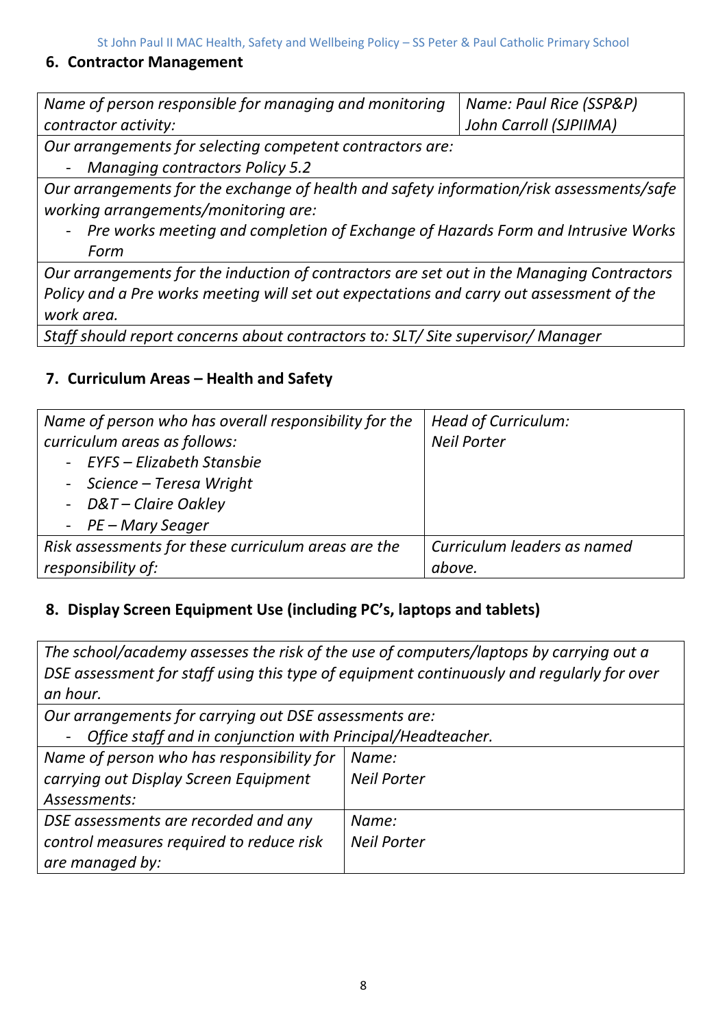St John Paul II MAC Health, Safety and Wellbeing Policy – SS Peter & Paul Catholic Primary School

#### **6. Contractor Management**

| Name of person responsible for managing and monitoring   Name: Paul Rice (SSP&P) |                        |
|----------------------------------------------------------------------------------|------------------------|
| contractor activity:                                                             | John Carroll (SJPIIMA) |

*Our arrangements for selecting competent contractors are:* 

- *Managing contractors Policy 5.2*

*Our arrangements for the exchange of health and safety information/risk assessments/safe working arrangements/monitoring are:* 

- *Pre works meeting and completion of Exchange of Hazards Form and Intrusive Works Form*

*Our arrangements for the induction of contractors are set out in the Managing Contractors Policy and a Pre works meeting will set out expectations and carry out assessment of the work area.*

*Staff should report concerns about contractors to: SLT/ Site supervisor/ Manager*

#### **7. Curriculum Areas – Health and Safety**

| Name of person who has overall responsibility for the | <b>Head of Curriculum:</b>  |
|-------------------------------------------------------|-----------------------------|
| curriculum areas as follows:                          | <b>Neil Porter</b>          |
| - EYFS - Elizabeth Stansbie                           |                             |
| - Science - Teresa Wright                             |                             |
| - D&T-Claire Oakley                                   |                             |
| - PE - Mary Seager                                    |                             |
| Risk assessments for these curriculum areas are the   | Curriculum leaders as named |
| responsibility of:                                    | above.                      |

#### **8. Display Screen Equipment Use (including PC's, laptops and tablets)**

*The school/academy assesses the risk of the use of computers/laptops by carrying out a DSE assessment for staff using this type of equipment continuously and regularly for over an hour.* 

*Our arrangements for carrying out DSE assessments are:*  - *Office staff and in conjunction with Principal/Headteacher. Name of person who has responsibility for carrying out Display Screen Equipment Assessments: Name: Neil Porter DSE assessments are recorded and any control measures required to reduce risk are managed by: Name: Neil Porter*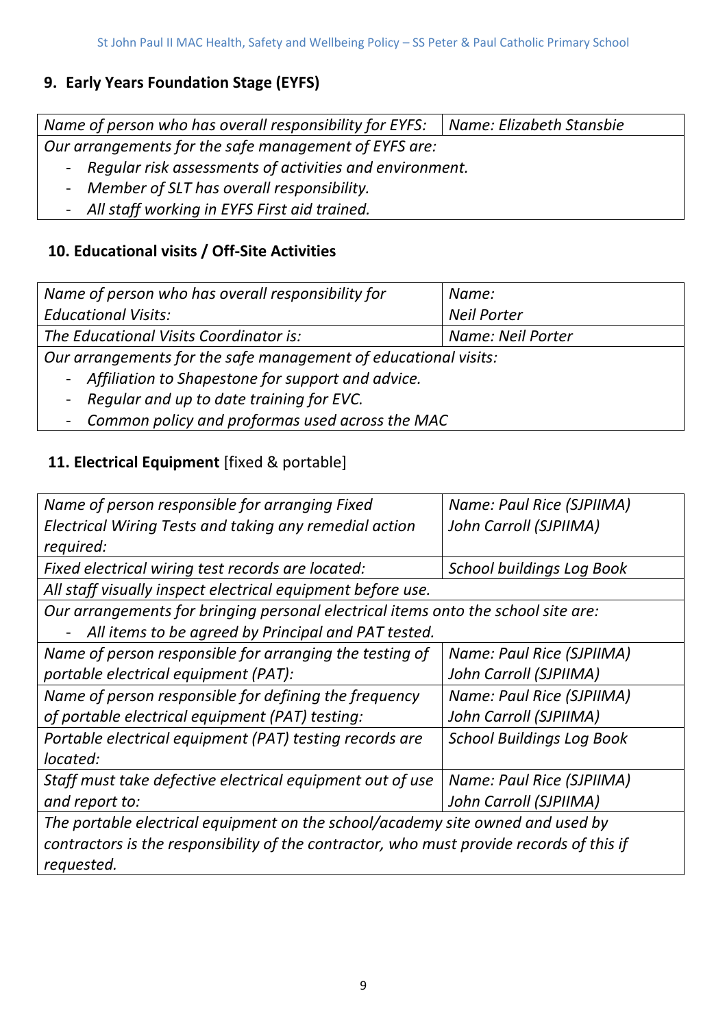# **9. Early Years Foundation Stage (EYFS)**

*Name of person who has overall responsibility for EYFS: Name: Elizabeth Stansbie*

*Our arrangements for the safe management of EYFS are:*

- *Regular risk assessments of activities and environment.*
- *Member of SLT has overall responsibility.*
- *All staff working in EYFS First aid trained.*

### **10. Educational visits / Off-Site Activities**

| Name of person who has overall responsibility for               | Name:              |  |
|-----------------------------------------------------------------|--------------------|--|
| <b>Educational Visits:</b>                                      | <b>Neil Porter</b> |  |
| The Educational Visits Coordinator is:                          | Name: Neil Porter  |  |
| Our arrangements for the safe management of educational visits: |                    |  |
| - Affiliation to Shapestone for support and advice.             |                    |  |
| - Regular and up to date training for EVC.                      |                    |  |

- *Common policy and proformas used across the MAC*

# **11. Electrical Equipment** [fixed & portable]

| Name of person responsible for arranging Fixed                                           | Name: Paul Rice (SJPIIMA)        |  |
|------------------------------------------------------------------------------------------|----------------------------------|--|
| Electrical Wiring Tests and taking any remedial action                                   | John Carroll (SJPIIMA)           |  |
| required:                                                                                |                                  |  |
| Fixed electrical wiring test records are located:                                        | <b>School buildings Log Book</b> |  |
| All staff visually inspect electrical equipment before use.                              |                                  |  |
| Our arrangements for bringing personal electrical items onto the school site are:        |                                  |  |
| All items to be agreed by Principal and PAT tested.<br>$\qquad \qquad \blacksquare$      |                                  |  |
| Name of person responsible for arranging the testing of                                  | Name: Paul Rice (SJPIIMA)        |  |
| portable electrical equipment (PAT):                                                     | John Carroll (SJPIIMA)           |  |
| Name of person responsible for defining the frequency                                    | Name: Paul Rice (SJPIIMA)        |  |
| of portable electrical equipment (PAT) testing:                                          | John Carroll (SJPIIMA)           |  |
| Portable electrical equipment (PAT) testing records are                                  | <b>School Buildings Log Book</b> |  |
| located:                                                                                 |                                  |  |
| Staff must take defective electrical equipment out of use                                | Name: Paul Rice (SJPIIMA)        |  |
| and report to:                                                                           | John Carroll (SJPIIMA)           |  |
| The portable electrical equipment on the school/academy site owned and used by           |                                  |  |
| contractors is the responsibility of the contractor, who must provide records of this if |                                  |  |
| requested.                                                                               |                                  |  |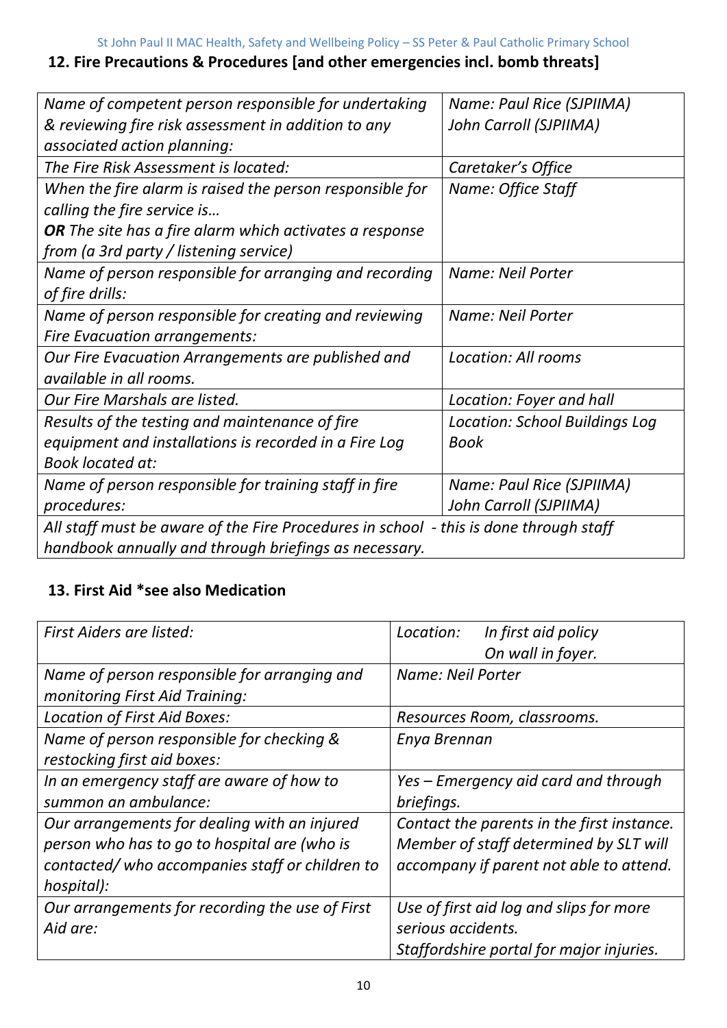# **12. Fire Precautions & Procedures [and other emergencies incl. bomb threats]**

| Name of competent person responsible for undertaking                                  | Name: Paul Rice (SJPIIMA)             |  |
|---------------------------------------------------------------------------------------|---------------------------------------|--|
| & reviewing fire risk assessment in addition to any                                   | John Carroll (SJPIIMA)                |  |
| associated action planning:                                                           |                                       |  |
| The Fire Risk Assessment is located:                                                  | Caretaker's Office                    |  |
| When the fire alarm is raised the person responsible for                              | Name: Office Staff                    |  |
| calling the fire service is                                                           |                                       |  |
| <b>OR</b> The site has a fire alarm which activates a response                        |                                       |  |
| from (a 3rd party / listening service)                                                |                                       |  |
| Name of person responsible for arranging and recording                                | Name: Neil Porter                     |  |
| of fire drills:                                                                       |                                       |  |
| Name of person responsible for creating and reviewing                                 | Name: Neil Porter                     |  |
| <b>Fire Evacuation arrangements:</b>                                                  |                                       |  |
| Our Fire Evacuation Arrangements are published and                                    | Location: All rooms                   |  |
| available in all rooms.                                                               |                                       |  |
| Our Fire Marshals are listed.                                                         | Location: Foyer and hall              |  |
| Results of the testing and maintenance of fire                                        | <b>Location: School Buildings Log</b> |  |
| equipment and installations is recorded in a Fire Log                                 | <b>Book</b>                           |  |
| <b>Book located at:</b>                                                               |                                       |  |
| Name of person responsible for training staff in fire                                 | Name: Paul Rice (SJPIIMA)             |  |
| John Carroll (SJPIIMA)<br>procedures:                                                 |                                       |  |
| All staff must be aware of the Fire Procedures in school - this is done through staff |                                       |  |
| handbook annually and through briefings as necessary.                                 |                                       |  |

# **13. First Aid \*see also Medication**

| <b>First Aiders are listed:</b>                 | In first aid policy<br>Location:           |
|-------------------------------------------------|--------------------------------------------|
|                                                 | On wall in foyer.                          |
| Name of person responsible for arranging and    | Name: Neil Porter                          |
| monitoring First Aid Training:                  |                                            |
| Location of First Aid Boxes:                    | Resources Room, classrooms.                |
| Name of person responsible for checking &       | Enya Brennan                               |
| restocking first aid boxes:                     |                                            |
| In an emergency staff are aware of how to       | Yes – Emergency aid card and through       |
| summon an ambulance:                            | briefings.                                 |
| Our arrangements for dealing with an injured    | Contact the parents in the first instance. |
| person who has to go to hospital are (who is    | Member of staff determined by SLT will     |
| contacted/who accompanies staff or children to  | accompany if parent not able to attend.    |
| hospital):                                      |                                            |
| Our arrangements for recording the use of First | Use of first aid log and slips for more    |
| Aid are:                                        | serious accidents.                         |
|                                                 | Staffordshire portal for major injuries.   |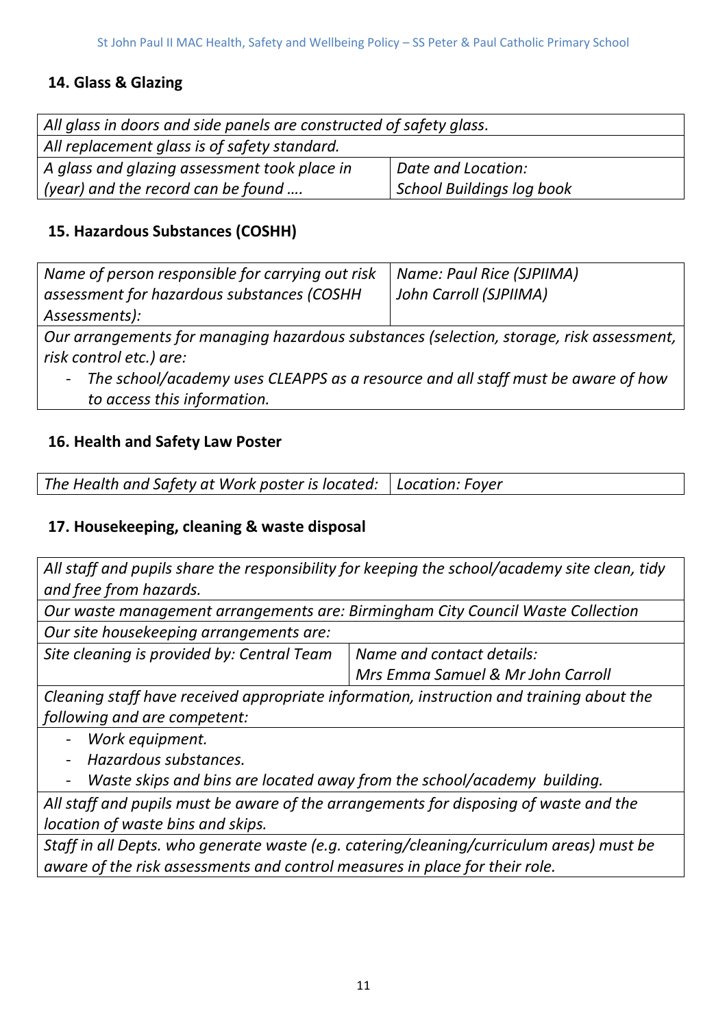# **14. Glass & Glazing**

| All glass in doors and side panels are constructed of safety glass. |                           |  |
|---------------------------------------------------------------------|---------------------------|--|
| All replacement glass is of safety standard.                        |                           |  |
| A glass and glazing assessment took place in                        | Date and Location:        |  |
| (year) and the record can be found                                  | School Buildings log book |  |

#### **15. Hazardous Substances (COSHH)**

| Name of person responsible for carrying out risk<br>assessment for hazardous substances (COSHH) | Name: Paul Rice (SJPIIMA)<br>  John Carroll (SJPIIMA) |
|-------------------------------------------------------------------------------------------------|-------------------------------------------------------|
| Assessments):                                                                                   |                                                       |
| Our arrangements for managing hazardous substances (selection, storage, risk assessment         |                                                       |

*Our arrangements for managing hazardous substances (selection, storage, risk assessment, risk control etc.) are:*

- *The school/academy uses CLEAPPS as a resource and all staff must be aware of how to access this information.* 

#### **16. Health and Safety Law Poster**

*The Health and Safety at Work poster is located: Location: Foyer*

#### **17. Housekeeping, cleaning & waste disposal**

*All staff and pupils share the responsibility for keeping the school/academy site clean, tidy and free from hazards.*

*Our waste management arrangements are: Birmingham City Council Waste Collection Our site housekeeping arrangements are:*

*Site cleaning is provided by: Central Team Name and contact details: Mrs Emma Samuel & Mr John Carroll*

*Cleaning staff have received appropriate information, instruction and training about the following and are competent:*

- *Work equipment.*
- *Hazardous substances.*
- *Waste skips and bins are located away from the school/academy building.*

*All staff and pupils must be aware of the arrangements for disposing of waste and the location of waste bins and skips.*

*Staff in all Depts. who generate waste (e.g. catering/cleaning/curriculum areas) must be aware of the risk assessments and control measures in place for their role.*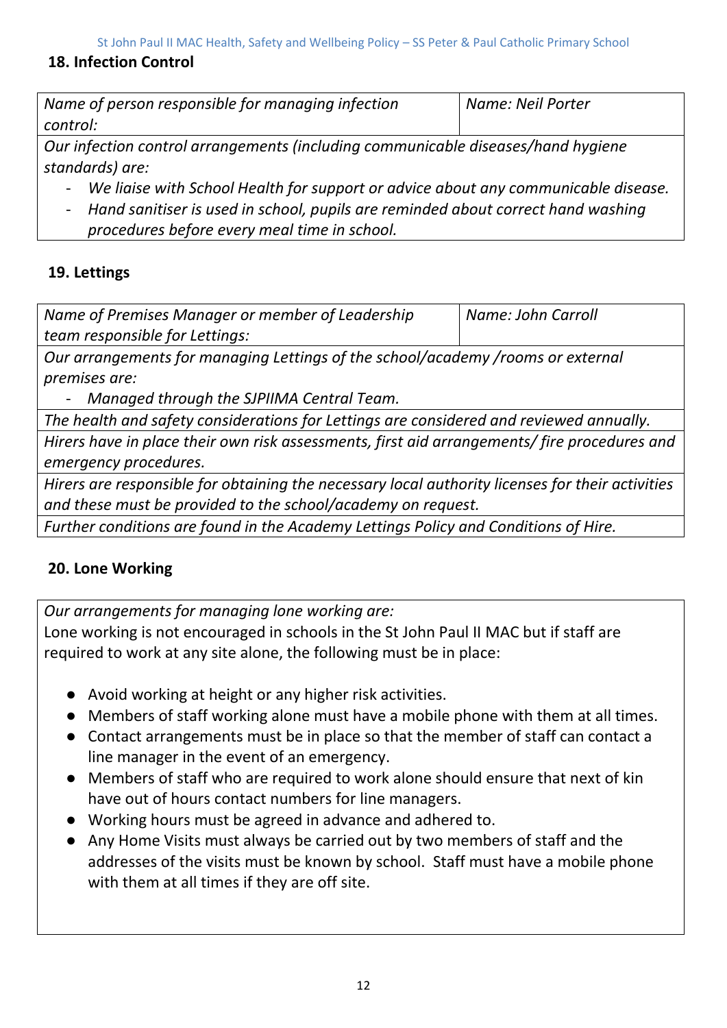#### **18. Infection Control**

| Name of person responsible for managing infection                                  | Name: Neil Porter |  |
|------------------------------------------------------------------------------------|-------------------|--|
| control:                                                                           |                   |  |
| Our infection control arrangements (including communicable diseases/hand hygiene   |                   |  |
| standards) are:                                                                    |                   |  |
| us ligica with Cabaal Llaalth far cunnart ar advise about any communicable disease |                   |  |

- *We liaise with School Health for support or advice about any communicable disease.*
- *Hand sanitiser is used in school, pupils are reminded about correct hand washing procedures before every meal time in school.*

# **19. Lettings**

| Name of Premises Manager or member of Leadership | Name: John Carroll |
|--------------------------------------------------|--------------------|
| team responsible for Lettings:                   |                    |

*Our arrangements for managing Lettings of the school/academy /rooms or external premises are:*

- *Managed through the SJPIIMA Central Team.*

*The health and safety considerations for Lettings are considered and reviewed annually.*

*Hirers have in place their own risk assessments, first aid arrangements/ fire procedures and emergency procedures.*

*Hirers are responsible for obtaining the necessary local authority licenses for their activities and these must be provided to the school/academy on request.* 

*Further conditions are found in the Academy Lettings Policy and Conditions of Hire.*

# **20. Lone Working**

*Our arrangements for managing lone working are:*

Lone working is not encouraged in schools in the St John Paul II MAC but if staff are required to work at any site alone, the following must be in place:

- Avoid working at height or any higher risk activities.
- Members of staff working alone must have a mobile phone with them at all times.
- Contact arrangements must be in place so that the member of staff can contact a line manager in the event of an emergency.
- Members of staff who are required to work alone should ensure that next of kin have out of hours contact numbers for line managers.
- Working hours must be agreed in advance and adhered to.
- Any Home Visits must always be carried out by two members of staff and the addresses of the visits must be known by school. Staff must have a mobile phone with them at all times if they are off site.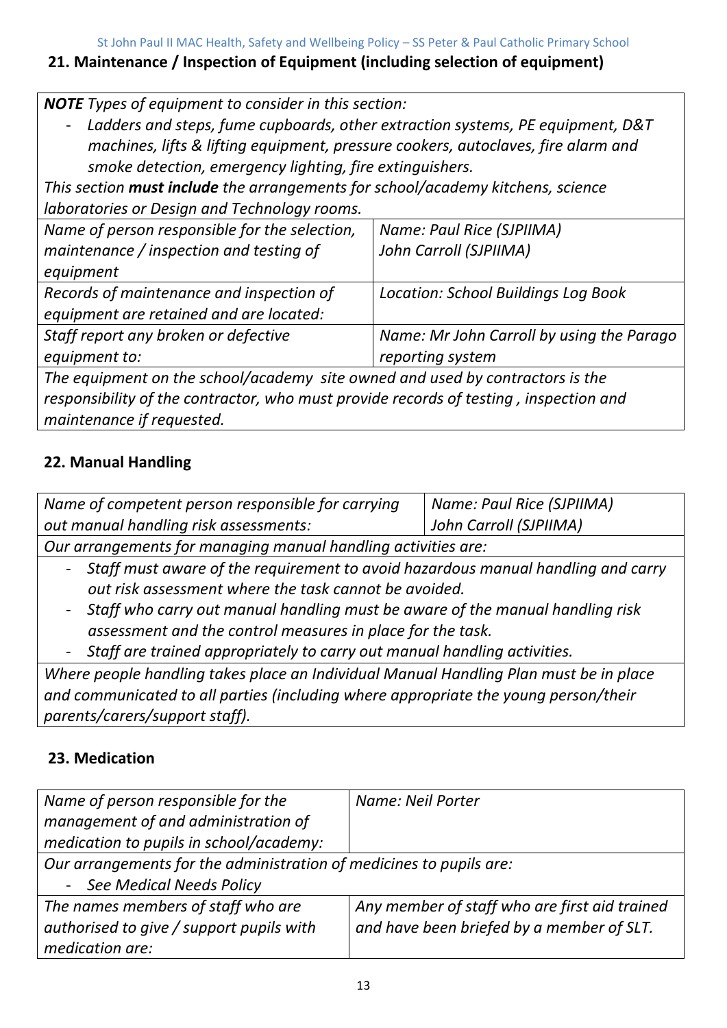#### **21. Maintenance / Inspection of Equipment (including selection of equipment)**

*NOTE Types of equipment to consider in this section:*

- *Ladders and steps, fume cupboards, other extraction systems, PE equipment, D&T machines, lifts & lifting equipment, pressure cookers, autoclaves, fire alarm and smoke detection, emergency lighting, fire extinguishers.* 

*This section must include the arrangements for school/academy kitchens, science laboratories or Design and Technology rooms.*

| Name of person responsible for the selection,                                 | Name: Paul Rice (SJPIIMA)                 |
|-------------------------------------------------------------------------------|-------------------------------------------|
| maintenance / inspection and testing of                                       | John Carroll (SJPIIMA)                    |
| equipment                                                                     |                                           |
| Records of maintenance and inspection of                                      | Location: School Buildings Log Book       |
| equipment are retained and are located:                                       |                                           |
| Staff report any broken or defective                                          | Name: Mr John Carroll by using the Parago |
| equipment to:                                                                 | reporting system                          |
| The equipment on the school/asademy site owned and used by contractors is the |                                           |

*The equipment on the school/academy site owned and used by contractors is the responsibility of the contractor, who must provide records of testing , inspection and maintenance if requested.*

# **22. Manual Handling**

| Name of competent person responsible for carrying             | Name: Paul Rice (SJPIIMA) |  |
|---------------------------------------------------------------|---------------------------|--|
| out manual handling risk assessments:                         | John Carroll (SJPIIMA)    |  |
| Our arrangements for managing manual handling activities are: |                           |  |

*Our arrangements for managing manual handling activities are:*

- *Staff must aware of the requirement to avoid hazardous manual handling and carry out risk assessment where the task cannot be avoided.*
- *Staff who carry out manual handling must be aware of the manual handling risk assessment and the control measures in place for the task.*
- *Staff are trained appropriately to carry out manual handling activities.*

*Where people handling takes place an Individual Manual Handling Plan must be in place and communicated to all parties (including where appropriate the young person/their parents/carers/support staff).* 

#### **23. Medication**

| Name of person responsible for the                                  | Name: Neil Porter                             |  |
|---------------------------------------------------------------------|-----------------------------------------------|--|
| management of and administration of                                 |                                               |  |
| medication to pupils in school/academy:                             |                                               |  |
| Our arrangements for the administration of medicines to pupils are: |                                               |  |
| - See Medical Needs Policy                                          |                                               |  |
| The names members of staff who are                                  | Any member of staff who are first aid trained |  |
| authorised to give / support pupils with                            | and have been briefed by a member of SLT.     |  |
| medication are:                                                     |                                               |  |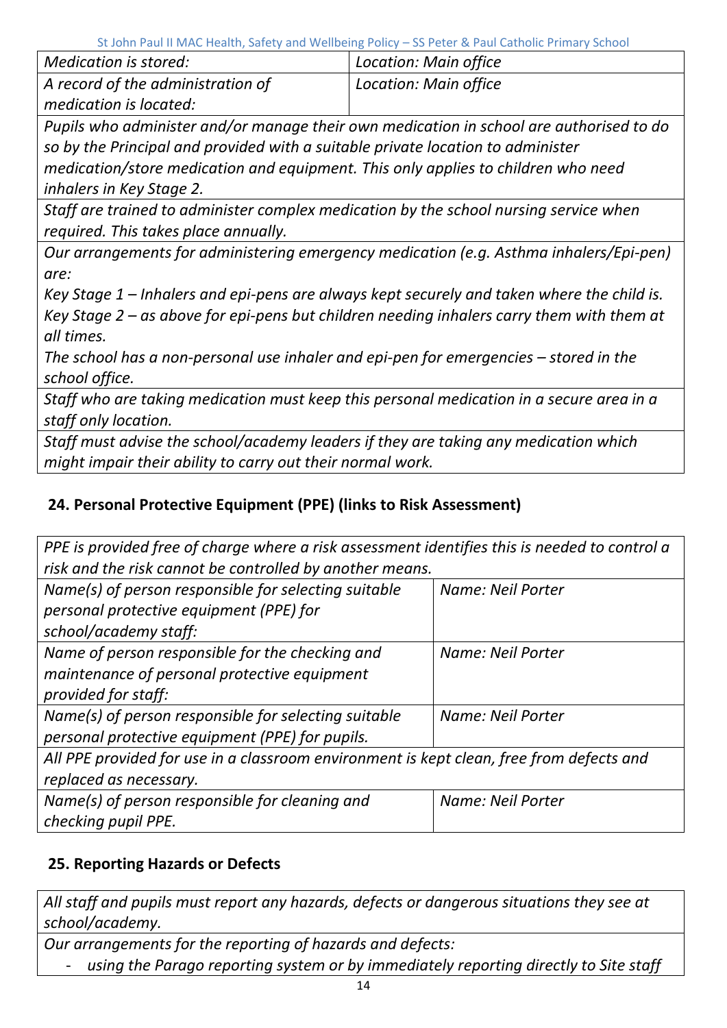St John Paul II MAC Health, Safety and Wellbeing Policy – SS Peter & Paul Catholic Primary School

| Medication is stored:             | Location: Main office |
|-----------------------------------|-----------------------|
| A record of the administration of | Location: Main office |
| medication is located:            |                       |

*Pupils who administer and/or manage their own medication in school are authorised to do so by the Principal and provided with a suitable private location to administer medication/store medication and equipment. This only applies to children who need inhalers in Key Stage 2.* 

*Staff are trained to administer complex medication by the school nursing service when required. This takes place annually.*

*Our arrangements for administering emergency medication (e.g. Asthma inhalers/Epi-pen) are:*

*Key Stage 1 – Inhalers and epi-pens are always kept securely and taken where the child is. Key Stage 2 – as above for epi-pens but children needing inhalers carry them with them at all times.*

*The school has a non-personal use inhaler and epi-pen for emergencies – stored in the school office.*

*Staff who are taking medication must keep this personal medication in a secure area in a staff only location.*

*Staff must advise the school/academy leaders if they are taking any medication which might impair their ability to carry out their normal work.* 

# **24. Personal Protective Equipment (PPE) (links to Risk Assessment)**

| PPE is provided free of charge where a risk assessment identifies this is needed to control a |                   |  |
|-----------------------------------------------------------------------------------------------|-------------------|--|
| risk and the risk cannot be controlled by another means.                                      |                   |  |
| Name(s) of person responsible for selecting suitable                                          | Name: Neil Porter |  |
| personal protective equipment (PPE) for                                                       |                   |  |
| school/academy staff:                                                                         |                   |  |
| Name of person responsible for the checking and                                               | Name: Neil Porter |  |
| maintenance of personal protective equipment                                                  |                   |  |
| provided for staff:                                                                           |                   |  |
| Name(s) of person responsible for selecting suitable                                          | Name: Neil Porter |  |
| personal protective equipment (PPE) for pupils.                                               |                   |  |
| All PPE provided for use in a classroom environment is kept clean, free from defects and      |                   |  |
| replaced as necessary.                                                                        |                   |  |
| Name(s) of person responsible for cleaning and                                                | Name: Neil Porter |  |
| checking pupil PPE.                                                                           |                   |  |

# **25. Reporting Hazards or Defects**

*All staff and pupils must report any hazards, defects or dangerous situations they see at school/academy.* 

*Our arrangements for the reporting of hazards and defects:*

using the Parago reporting system or by immediately reporting directly to Site staff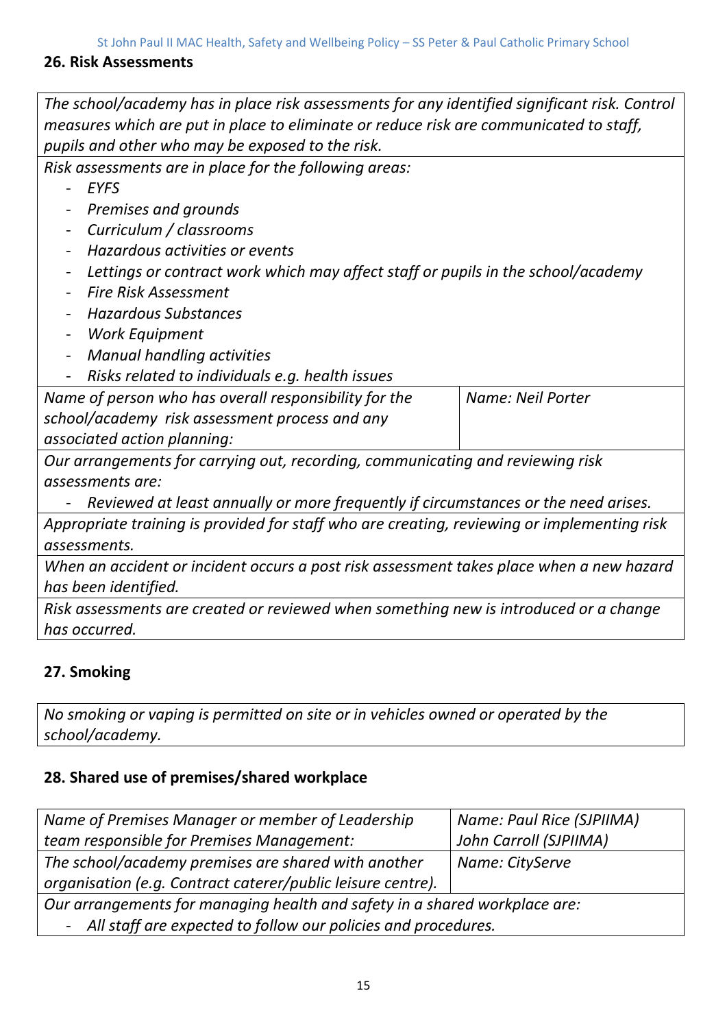#### **26. Risk Assessments**

*The school/academy has in place risk assessments for any identified significant risk. Control measures which are put in place to eliminate or reduce risk are communicated to staff, pupils and other who may be exposed to the risk. Risk assessments are in place for the following areas:* - *EYFS* - *Premises and grounds* - *Curriculum / classrooms* - *Hazardous activities or events* - *Lettings or contract work which may affect staff or pupils in the school/academy*  - *Fire Risk Assessment* - *Hazardous Substances* - *Work Equipment* - *Manual handling activities*  - *Risks related to individuals e.g. health issues Name of person who has overall responsibility for the school/academy risk assessment process and any associated action planning: Name: Neil Porter Our arrangements for carrying out, recording, communicating and reviewing risk assessments are:* - *Reviewed at least annually or more frequently if circumstances or the need arises.*

*Appropriate training is provided for staff who are creating, reviewing or implementing risk assessments.* 

*When an accident or incident occurs a post risk assessment takes place when a new hazard has been identified.* 

*Risk assessments are created or reviewed when something new is introduced or a change has occurred.* 

# **27. Smoking**

*No smoking or vaping is permitted on site or in vehicles owned or operated by the school/academy.* 

#### **28. Shared use of premises/shared workplace**

| Name of Premises Manager or member of Leadership                           | Name: Paul Rice (SJPIIMA) |  |
|----------------------------------------------------------------------------|---------------------------|--|
| team responsible for Premises Management:                                  | John Carroll (SJPIIMA)    |  |
| The school/academy premises are shared with another                        | Name: CityServe           |  |
| organisation (e.g. Contract caterer/public leisure centre).                |                           |  |
| Our arrangements for managing health and safety in a shared workplace are: |                           |  |
| - All staff are expected to follow our policies and procedures.            |                           |  |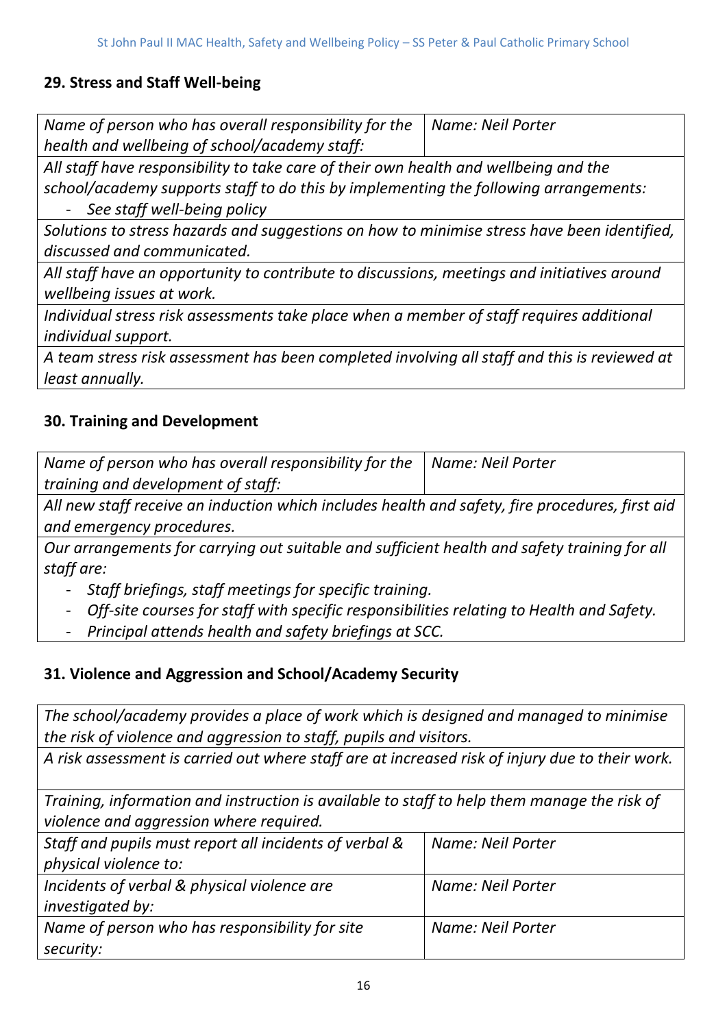# **29. Stress and Staff Well-being**

| Name of person who has overall responsibility for the $\parallel$ Name: Neil Porter  |  |
|--------------------------------------------------------------------------------------|--|
| health and wellbeing of school/academy staff:                                        |  |
| All staff have responsibility to take care of their own health and wellbeing and the |  |

*school/academy supports staff to do this by implementing the following arrangements:* - *See staff well-being policy*

*Solutions to stress hazards and suggestions on how to minimise stress have been identified, discussed and communicated.* 

*All staff have an opportunity to contribute to discussions, meetings and initiatives around wellbeing issues at work.* 

*Individual stress risk assessments take place when a member of staff requires additional individual support.* 

*A team stress risk assessment has been completed involving all staff and this is reviewed at least annually.*

# **30. Training and Development**

| Name of person who has overall responsibility for the $\parallel$ Name: Neil Porter             |  |
|-------------------------------------------------------------------------------------------------|--|
| training and development of staff:                                                              |  |
| All now staff reseause an industion which includes boalth and safety fire prosedures, first aid |  |

*All new staff receive an induction which includes health and safety, fire procedures, first aid and emergency procedures.* 

*Our arrangements for carrying out suitable and sufficient health and safety training for all staff are:*

- *Staff briefings, staff meetings for specific training.*
- *Off-site courses for staff with specific responsibilities relating to Health and Safety.*
- *Principal attends health and safety briefings at SCC.*

#### **31. Violence and Aggression and School/Academy Security**

*The school/academy provides a place of work which is designed and managed to minimise the risk of violence and aggression to staff, pupils and visitors.* 

*A risk assessment is carried out where staff are at increased risk of injury due to their work.*

*Training, information and instruction is available to staff to help them manage the risk of violence and aggression where required.* 

| Staff and pupils must report all incidents of verbal & | Name: Neil Porter |
|--------------------------------------------------------|-------------------|
| physical violence to:                                  |                   |
| Incidents of verbal & physical violence are            | Name: Neil Porter |
| investigated by:                                       |                   |
| Name of person who has responsibility for site         | Name: Neil Porter |
| security:                                              |                   |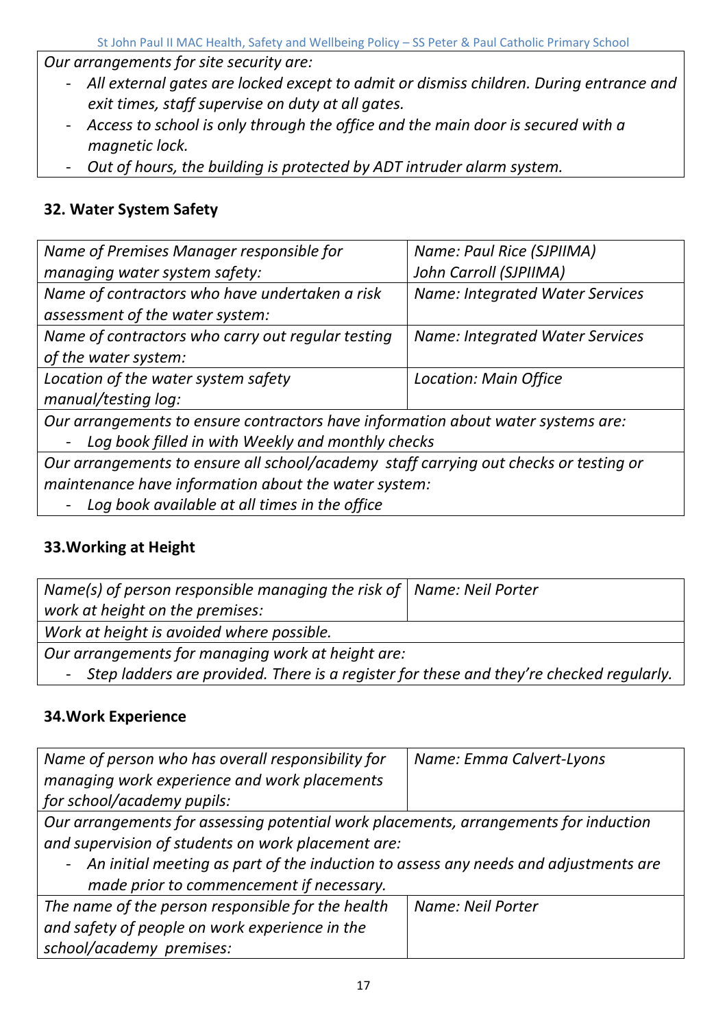*Our arrangements for site security are:*

- *All external gates are locked except to admit or dismiss children. During entrance and exit times, staff supervise on duty at all gates.*
- *Access to school is only through the office and the main door is secured with a magnetic lock.*
- *Out of hours, the building is protected by ADT intruder alarm system.*

# **32. Water System Safety**

| Name of Premises Manager responsible for                                         | Name: Paul Rice (SJPIIMA)              |
|----------------------------------------------------------------------------------|----------------------------------------|
| managing water system safety:                                                    | John Carroll (SJPIIMA)                 |
| Name of contractors who have undertaken a risk                                   | <b>Name: Integrated Water Services</b> |
| assessment of the water system:                                                  |                                        |
| Name of contractors who carry out regular testing                                | <b>Name: Integrated Water Services</b> |
| of the water system:                                                             |                                        |
| Location of the water system safety                                              | Location: Main Office                  |
| manual/testing log:                                                              |                                        |
| Our arrangements to ensure contractors have information about water systems are: |                                        |

- *Log book filled in with Weekly and monthly checks*

*Our arrangements to ensure all school/academy staff carrying out checks or testing or maintenance have information about the water system:*

- *Log book available at all times in the office*

# **33.Working at Height**

| Name(s) of person responsible managing the risk of $\vert$ Name: Neil Porter              |  |
|-------------------------------------------------------------------------------------------|--|
| work at height on the premises:                                                           |  |
| Work at height is avoided where possible.                                                 |  |
| Our arrangements for managing work at height are:                                         |  |
| - Step ladders are provided. There is a register for these and they're checked regularly. |  |

# **34.Work Experience**

| Name of person who has overall responsibility for<br>managing work experience and work placements | Name: Emma Calvert-Lyons |  |
|---------------------------------------------------------------------------------------------------|--------------------------|--|
| for school/academy pupils:                                                                        |                          |  |
| Our arrangements for assessing potential work placements, arrangements for induction              |                          |  |
| and supervision of students on work placement are:                                                |                          |  |
| - An initial meeting as part of the induction to assess any needs and adjustments are             |                          |  |
| made prior to commencement if necessary.                                                          |                          |  |
| The name of the person responsible for the health                                                 | Name: Neil Porter        |  |
| and safety of people on work experience in the                                                    |                          |  |
| school/academy premises:                                                                          |                          |  |